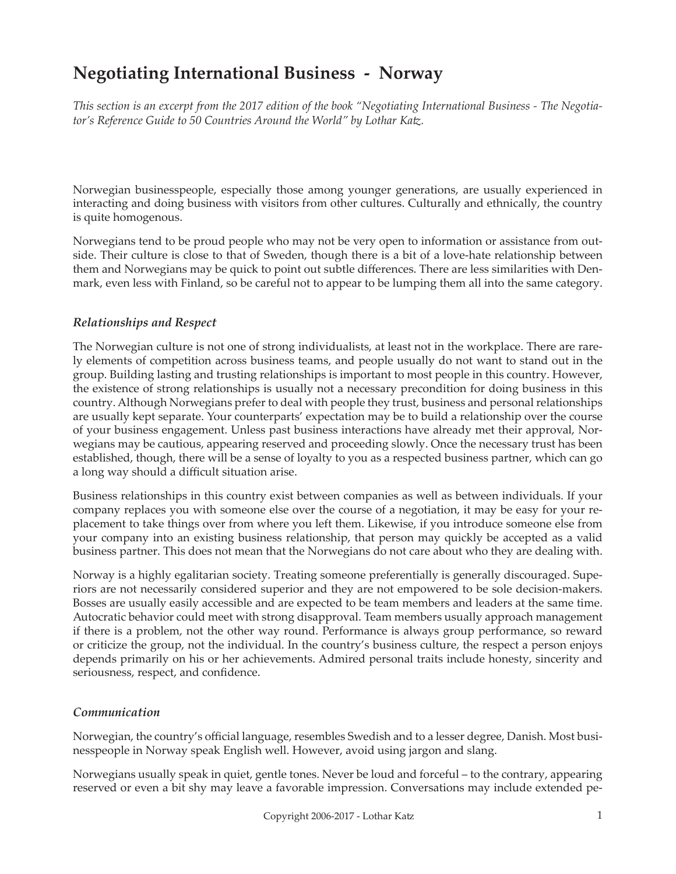# **Negotiating International Business - Norway**

*This section is an excerpt from the 2017 edition of the book "Negotiating International Business - The Negotiator's Reference Guide to 50 Countries Around the World" by Lothar Katz.*

Norwegian businesspeople, especially those among younger generations, are usually experienced in interacting and doing business with visitors from other cultures. Culturally and ethnically, the country is quite homogenous.

Norwegians tend to be proud people who may not be very open to information or assistance from outside. Their culture is close to that of Sweden, though there is a bit of a love-hate relationship between them and Norwegians may be quick to point out subtle differences. There are less similarities with Denmark, even less with Finland, so be careful not to appear to be lumping them all into the same category.

## *Relationships and Respect*

The Norwegian culture is not one of strong individualists, at least not in the workplace. There are rarely elements of competition across business teams, and people usually do not want to stand out in the group. Building lasting and trusting relationships is important to most people in this country. However, the existence of strong relationships is usually not a necessary precondition for doing business in this country. Although Norwegians prefer to deal with people they trust, business and personal relationships are usually kept separate. Your counterparts' expectation may be to build a relationship over the course of your business engagement. Unless past business interactions have already met their approval, Norwegians may be cautious, appearing reserved and proceeding slowly. Once the necessary trust has been established, though, there will be a sense of loyalty to you as a respected business partner, which can go a long way should a difficult situation arise.

Business relationships in this country exist between companies as well as between individuals. If your company replaces you with someone else over the course of a negotiation, it may be easy for your replacement to take things over from where you left them. Likewise, if you introduce someone else from your company into an existing business relationship, that person may quickly be accepted as a valid business partner. This does not mean that the Norwegians do not care about who they are dealing with.

Norway is a highly egalitarian society. Treating someone preferentially is generally discouraged. Superiors are not necessarily considered superior and they are not empowered to be sole decision-makers. Bosses are usually easily accessible and are expected to be team members and leaders at the same time. Autocratic behavior could meet with strong disapproval. Team members usually approach management if there is a problem, not the other way round. Performance is always group performance, so reward or criticize the group, not the individual. In the country's business culture, the respect a person enjoys depends primarily on his or her achievements. Admired personal traits include honesty, sincerity and seriousness, respect, and confidence.

## *Communication*

Norwegian, the country's official language, resembles Swedish and to a lesser degree, Danish. Most businesspeople in Norway speak English well. However, avoid using jargon and slang.

Norwegians usually speak in quiet, gentle tones. Never be loud and forceful – to the contrary, appearing reserved or even a bit shy may leave a favorable impression. Conversations may include extended pe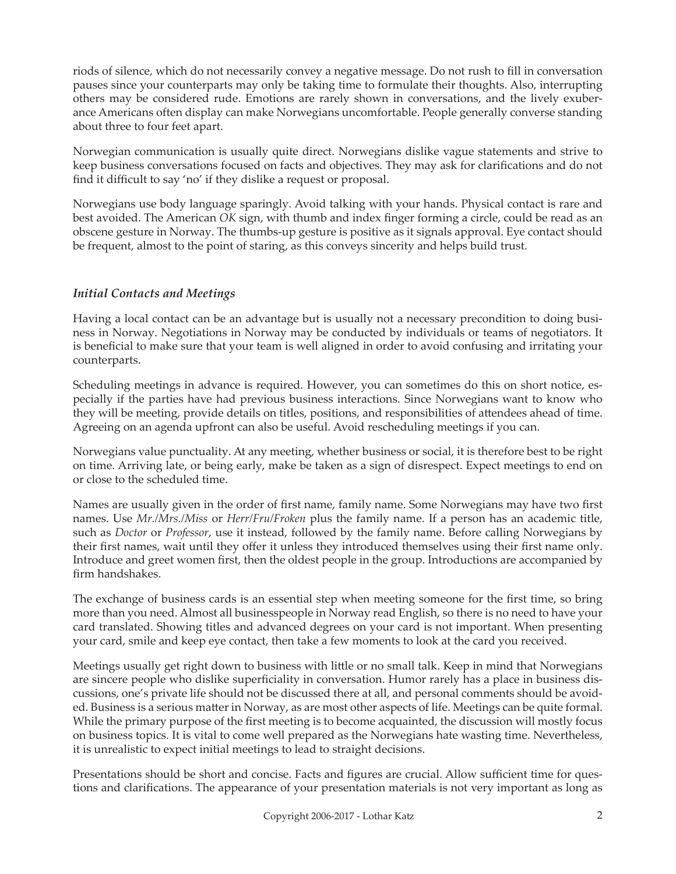riods of silence, which do not necessarily convey a negative message. Do not rush to fill in conversation pauses since your counterparts may only be taking time to formulate their thoughts. Also, interrupting others may be considered rude. Emotions are rarely shown in conversations, and the lively exuberance Americans often display can make Norwegians uncomfortable. People generally converse standing about three to four feet apart.

Norwegian communication is usually quite direct. Norwegians dislike vague statements and strive to keep business conversations focused on facts and objectives. They may ask for clarifications and do not find it difficult to say 'no' if they dislike a request or proposal.

Norwegians use body language sparingly. Avoid talking with your hands. Physical contact is rare and best avoided. The American *OK* sign, with thumb and index finger forming a circle, could be read as an obscene gesture in Norway. The thumbs-up gesture is positive as it signals approval. Eye contact should be frequent, almost to the point of staring, as this conveys sincerity and helps build trust.

# *Initial Contacts and Meetings*

Having a local contact can be an advantage but is usually not a necessary precondition to doing business in Norway. Negotiations in Norway may be conducted by individuals or teams of negotiators. It is beneficial to make sure that your team is well aligned in order to avoid confusing and irritating your counterparts.

Scheduling meetings in advance is required. However, you can sometimes do this on short notice, especially if the parties have had previous business interactions. Since Norwegians want to know who they will be meeting, provide details on titles, positions, and responsibilities of attendees ahead of time. Agreeing on an agenda upfront can also be useful. Avoid rescheduling meetings if you can.

Norwegians value punctuality. At any meeting, whether business or social, it is therefore best to be right on time. Arriving late, or being early, make be taken as a sign of disrespect. Expect meetings to end on or close to the scheduled time.

Names are usually given in the order of first name, family name. Some Norwegians may have two first names. Use *Mr./Mrs./Miss* or *Herr/Fru/Froken* plus the family name. If a person has an academic title, such as *Doctor* or *Professor*, use it instead, followed by the family name. Before calling Norwegians by their first names, wait until they offer it unless they introduced themselves using their first name only. Introduce and greet women first, then the oldest people in the group. Introductions are accompanied by firm handshakes.

The exchange of business cards is an essential step when meeting someone for the first time, so bring more than you need. Almost all businesspeople in Norway read English, so there is no need to have your card translated. Showing titles and advanced degrees on your card is not important. When presenting your card, smile and keep eye contact, then take a few moments to look at the card you received.

Meetings usually get right down to business with little or no small talk. Keep in mind that Norwegians are sincere people who dislike superficiality in conversation. Humor rarely has a place in business discussions, one's private life should not be discussed there at all, and personal comments should be avoided. Business is a serious matter in Norway, as are most other aspects of life. Meetings can be quite formal. While the primary purpose of the first meeting is to become acquainted, the discussion will mostly focus on business topics. It is vital to come well prepared as the Norwegians hate wasting time. Nevertheless, it is unrealistic to expect initial meetings to lead to straight decisions.

Presentations should be short and concise. Facts and figures are crucial. Allow sufficient time for questions and clarifications. The appearance of your presentation materials is not very important as long as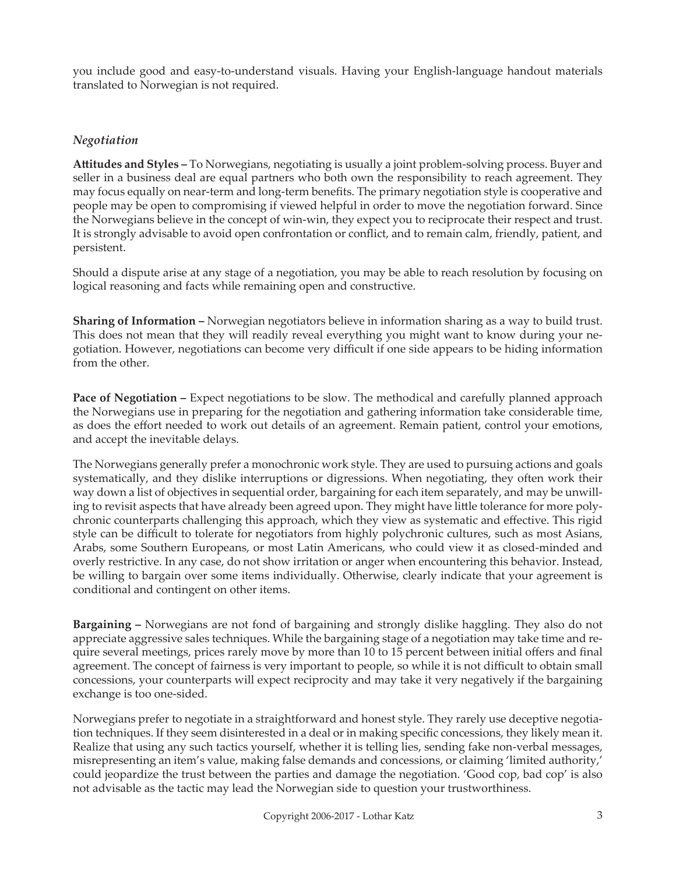you include good and easy-to-understand visuals. Having your English-language handout materials translated to Norwegian is not required.

# *Negotiation*

**Attitudes and Styles –** To Norwegians, negotiating is usually a joint problem-solving process. Buyer and seller in a business deal are equal partners who both own the responsibility to reach agreement. They may focus equally on near-term and long-term benefits. The primary negotiation style is cooperative and people may be open to compromising if viewed helpful in order to move the negotiation forward. Since the Norwegians believe in the concept of win-win, they expect you to reciprocate their respect and trust. It is strongly advisable to avoid open confrontation or conflict, and to remain calm, friendly, patient, and persistent.

Should a dispute arise at any stage of a negotiation, you may be able to reach resolution by focusing on logical reasoning and facts while remaining open and constructive.

**Sharing of Information –** Norwegian negotiators believe in information sharing as a way to build trust. This does not mean that they will readily reveal everything you might want to know during your negotiation. However, negotiations can become very difficult if one side appears to be hiding information from the other.

**Pace of Negotiation –** Expect negotiations to be slow. The methodical and carefully planned approach the Norwegians use in preparing for the negotiation and gathering information take considerable time, as does the effort needed to work out details of an agreement. Remain patient, control your emotions, and accept the inevitable delays.

The Norwegians generally prefer a monochronic work style. They are used to pursuing actions and goals systematically, and they dislike interruptions or digressions. When negotiating, they often work their way down a list of objectives in sequential order, bargaining for each item separately, and may be unwilling to revisit aspects that have already been agreed upon. They might have little tolerance for more polychronic counterparts challenging this approach, which they view as systematic and effective. This rigid style can be difficult to tolerate for negotiators from highly polychronic cultures, such as most Asians, Arabs, some Southern Europeans, or most Latin Americans, who could view it as closed-minded and overly restrictive. In any case, do not show irritation or anger when encountering this behavior. Instead, be willing to bargain over some items individually. Otherwise, clearly indicate that your agreement is conditional and contingent on other items.

**Bargaining –** Norwegians are not fond of bargaining and strongly dislike haggling. They also do not appreciate aggressive sales techniques. While the bargaining stage of a negotiation may take time and require several meetings, prices rarely move by more than 10 to 15 percent between initial offers and final agreement. The concept of fairness is very important to people, so while it is not difficult to obtain small concessions, your counterparts will expect reciprocity and may take it very negatively if the bargaining exchange is too one-sided.

Norwegians prefer to negotiate in a straightforward and honest style. They rarely use deceptive negotiation techniques. If they seem disinterested in a deal or in making specific concessions, they likely mean it. Realize that using any such tactics yourself, whether it is telling lies, sending fake non-verbal messages, misrepresenting an item's value, making false demands and concessions, or claiming 'limited authority,' could jeopardize the trust between the parties and damage the negotiation. 'Good cop, bad cop' is also not advisable as the tactic may lead the Norwegian side to question your trustworthiness.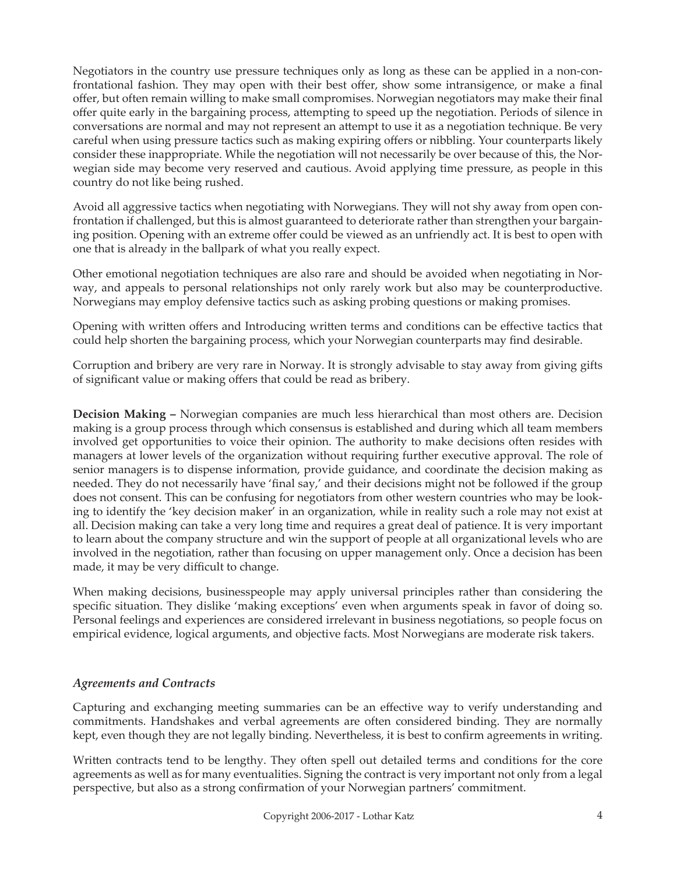Negotiators in the country use pressure techniques only as long as these can be applied in a non-confrontational fashion. They may open with their best offer, show some intransigence, or make a final offer, but often remain willing to make small compromises. Norwegian negotiators may make their final offer quite early in the bargaining process, attempting to speed up the negotiation. Periods of silence in conversations are normal and may not represent an attempt to use it as a negotiation technique. Be very careful when using pressure tactics such as making expiring offers or nibbling. Your counterparts likely consider these inappropriate. While the negotiation will not necessarily be over because of this, the Norwegian side may become very reserved and cautious. Avoid applying time pressure, as people in this country do not like being rushed.

Avoid all aggressive tactics when negotiating with Norwegians. They will not shy away from open confrontation if challenged, but this is almost guaranteed to deteriorate rather than strengthen your bargaining position. Opening with an extreme offer could be viewed as an unfriendly act. It is best to open with one that is already in the ballpark of what you really expect.

Other emotional negotiation techniques are also rare and should be avoided when negotiating in Norway, and appeals to personal relationships not only rarely work but also may be counterproductive. Norwegians may employ defensive tactics such as asking probing questions or making promises.

Opening with written offers and Introducing written terms and conditions can be effective tactics that could help shorten the bargaining process, which your Norwegian counterparts may find desirable.

Corruption and bribery are very rare in Norway. It is strongly advisable to stay away from giving gifts of significant value or making offers that could be read as bribery.

**Decision Making –** Norwegian companies are much less hierarchical than most others are. Decision making is a group process through which consensus is established and during which all team members involved get opportunities to voice their opinion. The authority to make decisions often resides with managers at lower levels of the organization without requiring further executive approval. The role of senior managers is to dispense information, provide guidance, and coordinate the decision making as needed. They do not necessarily have 'final say,' and their decisions might not be followed if the group does not consent. This can be confusing for negotiators from other western countries who may be looking to identify the 'key decision maker' in an organization, while in reality such a role may not exist at all. Decision making can take a very long time and requires a great deal of patience. It is very important to learn about the company structure and win the support of people at all organizational levels who are involved in the negotiation, rather than focusing on upper management only. Once a decision has been made, it may be very difficult to change.

When making decisions, businesspeople may apply universal principles rather than considering the specific situation. They dislike 'making exceptions' even when arguments speak in favor of doing so. Personal feelings and experiences are considered irrelevant in business negotiations, so people focus on empirical evidence, logical arguments, and objective facts. Most Norwegians are moderate risk takers.

## *Agreements and Contracts*

Capturing and exchanging meeting summaries can be an effective way to verify understanding and commitments. Handshakes and verbal agreements are often considered binding. They are normally kept, even though they are not legally binding. Nevertheless, it is best to confirm agreements in writing.

Written contracts tend to be lengthy. They often spell out detailed terms and conditions for the core agreements as well as for many eventualities. Signing the contract is very important not only from a legal perspective, but also as a strong confirmation of your Norwegian partners' commitment.